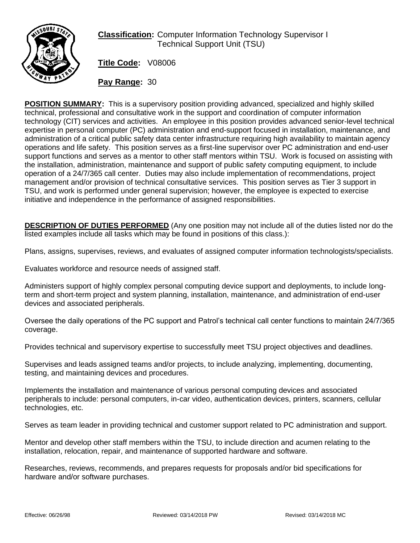

## **Classification:** Computer Information Technology Supervisor I Technical Support Unit (TSU)

**Title Code:** V08006

**Pay Range:** 30

**POSITION SUMMARY:** This is a supervisory position providing advanced, specialized and highly skilled technical, professional and consultative work in the support and coordination of computer information technology (CIT) services and activities. An employee in this position provides advanced senior-level technical expertise in personal computer (PC) administration and end-support focused in installation, maintenance, and administration of a critical public safety data center infrastructure requiring high availability to maintain agency operations and life safety. This position serves as a first-line supervisor over PC administration and end-user support functions and serves as a mentor to other staff mentors within TSU. Work is focused on assisting with the installation, administration, maintenance and support of public safety computing equipment, to include operation of a 24/7/365 call center. Duties may also include implementation of recommendations, project management and/or provision of technical consultative services. This position serves as Tier 3 support in TSU, and work is performed under general supervision; however, the employee is expected to exercise initiative and independence in the performance of assigned responsibilities.

**DESCRIPTION OF DUTIES PERFORMED** (Any one position may not include all of the duties listed nor do the listed examples include all tasks which may be found in positions of this class.):

Plans, assigns, supervises, reviews, and evaluates of assigned computer information technologists/specialists.

Evaluates workforce and resource needs of assigned staff.

Administers support of highly complex personal computing device support and deployments, to include longterm and short-term project and system planning, installation, maintenance, and administration of end-user devices and associated peripherals.

Oversee the daily operations of the PC support and Patrol's technical call center functions to maintain 24/7/365 coverage.

Provides technical and supervisory expertise to successfully meet TSU project objectives and deadlines.

Supervises and leads assigned teams and/or projects, to include analyzing, implementing, documenting, testing, and maintaining devices and procedures.

Implements the installation and maintenance of various personal computing devices and associated peripherals to include: personal computers, in-car video, authentication devices, printers, scanners, cellular technologies, etc.

Serves as team leader in providing technical and customer support related to PC administration and support.

Mentor and develop other staff members within the TSU, to include direction and acumen relating to the installation, relocation, repair, and maintenance of supported hardware and software.

Researches, reviews, recommends, and prepares requests for proposals and/or bid specifications for hardware and/or software purchases.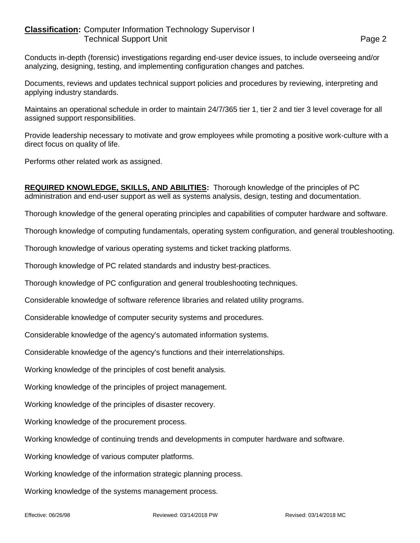## **Classification:** Computer Information Technology Supervisor I Technical Support Unit **Page 2**

Conducts in-depth (forensic) investigations regarding end-user device issues, to include overseeing and/or analyzing, designing, testing, and implementing configuration changes and patches.

Documents, reviews and updates technical support policies and procedures by reviewing, interpreting and applying industry standards.

Maintains an operational schedule in order to maintain 24/7/365 tier 1, tier 2 and tier 3 level coverage for all assigned support responsibilities.

Provide leadership necessary to motivate and grow employees while promoting a positive work-culture with a direct focus on quality of life.

Performs other related work as assigned.

**REQUIRED KNOWLEDGE, SKILLS, AND ABILITIES:** Thorough knowledge of the principles of PC administration and end-user support as well as systems analysis, design, testing and documentation.

Thorough knowledge of the general operating principles and capabilities of computer hardware and software.

Thorough knowledge of computing fundamentals, operating system configuration, and general troubleshooting.

Thorough knowledge of various operating systems and ticket tracking platforms.

Thorough knowledge of PC related standards and industry best-practices.

Thorough knowledge of PC configuration and general troubleshooting techniques.

Considerable knowledge of software reference libraries and related utility programs.

Considerable knowledge of computer security systems and procedures.

Considerable knowledge of the agency's automated information systems.

Considerable knowledge of the agency's functions and their interrelationships.

Working knowledge of the principles of cost benefit analysis.

Working knowledge of the principles of project management.

Working knowledge of the principles of disaster recovery.

Working knowledge of the procurement process.

Working knowledge of continuing trends and developments in computer hardware and software.

Working knowledge of various computer platforms.

Working knowledge of the information strategic planning process.

Working knowledge of the systems management process.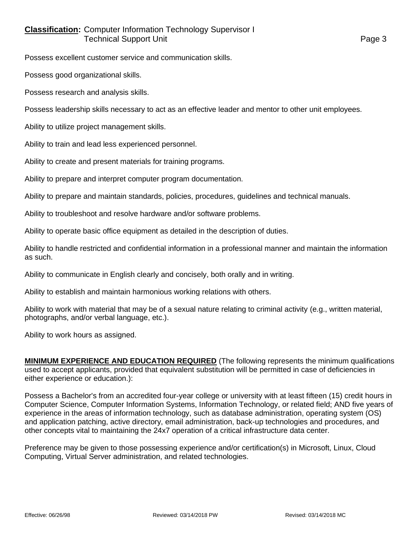## **Classification:** Computer Information Technology Supervisor I Technical Support Unit **Page 3**

Possess excellent customer service and communication skills.

Possess good organizational skills.

Possess research and analysis skills.

Possess leadership skills necessary to act as an effective leader and mentor to other unit employees.

Ability to utilize project management skills.

Ability to train and lead less experienced personnel.

Ability to create and present materials for training programs.

Ability to prepare and interpret computer program documentation.

Ability to prepare and maintain standards, policies, procedures, guidelines and technical manuals.

Ability to troubleshoot and resolve hardware and/or software problems.

Ability to operate basic office equipment as detailed in the description of duties.

Ability to handle restricted and confidential information in a professional manner and maintain the information as such.

Ability to communicate in English clearly and concisely, both orally and in writing.

Ability to establish and maintain harmonious working relations with others.

Ability to work with material that may be of a sexual nature relating to criminal activity (e.g., written material, photographs, and/or verbal language, etc.).

Ability to work hours as assigned.

**MINIMUM EXPERIENCE AND EDUCATION REQUIRED** (The following represents the minimum qualifications used to accept applicants, provided that equivalent substitution will be permitted in case of deficiencies in either experience or education.):

Possess a Bachelor's from an accredited four-year college or university with at least fifteen (15) credit hours in Computer Science, Computer Information Systems, Information Technology, or related field; AND five years of experience in the areas of information technology, such as database administration, operating system (OS) and application patching, active directory, email administration, back-up technologies and procedures, and other concepts vital to maintaining the 24x7 operation of a critical infrastructure data center.

Preference may be given to those possessing experience and/or certification(s) in Microsoft, Linux, Cloud Computing, Virtual Server administration, and related technologies.